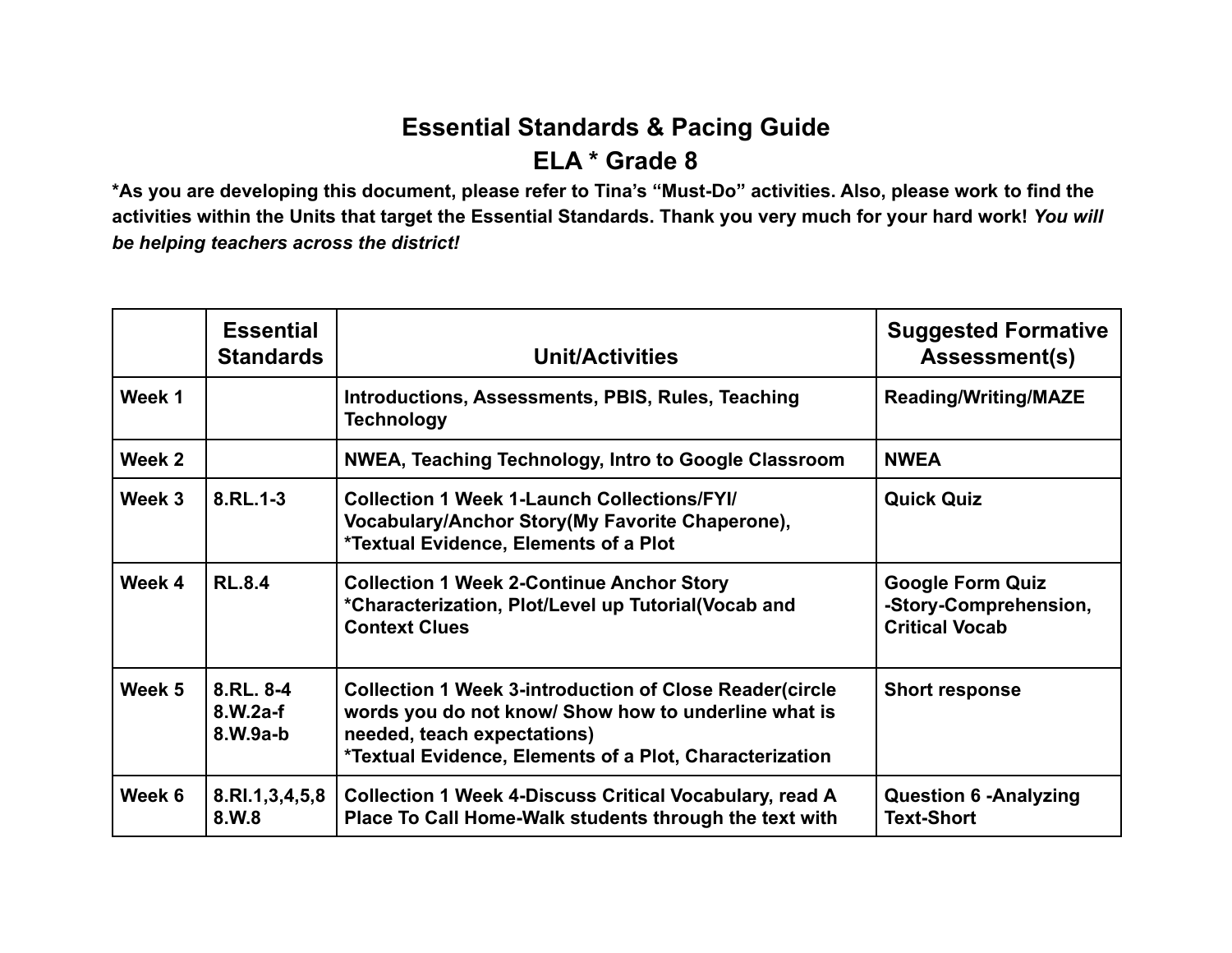## **Essential Standards & Pacing Guide ELA \* Grade 8**

**\*As you are developing this document, please refer to Tina's "Must-Do" activities. Also, please work to find the activities within the Units that target the Essential Standards. Thank you very much for your hard work!** *You will be helping teachers across the district!*

|                   | <b>Essential</b><br><b>Standards</b>  | <b>Unit/Activities</b>                                                                                                                                                                                           | <b>Suggested Formative</b><br>Assessment(s)                               |
|-------------------|---------------------------------------|------------------------------------------------------------------------------------------------------------------------------------------------------------------------------------------------------------------|---------------------------------------------------------------------------|
| Week 1            |                                       | Introductions, Assessments, PBIS, Rules, Teaching<br><b>Technology</b>                                                                                                                                           | <b>Reading/Writing/MAZE</b>                                               |
| Week 2            |                                       | <b>NWEA, Teaching Technology, Intro to Google Classroom</b>                                                                                                                                                      | <b>NWEA</b>                                                               |
| Week 3            | 8.RL.1-3                              | <b>Collection 1 Week 1-Launch Collections/FYI/</b><br>Vocabulary/Anchor Story(My Favorite Chaperone),<br>*Textual Evidence, Elements of a Plot                                                                   | <b>Quick Quiz</b>                                                         |
| Week 4            | <b>RL.8.4</b>                         | <b>Collection 1 Week 2-Continue Anchor Story</b><br>*Characterization, Plot/Level up Tutorial(Vocab and<br><b>Context Clues</b>                                                                                  | <b>Google Form Quiz</b><br>-Story-Comprehension,<br><b>Critical Vocab</b> |
| Week <sub>5</sub> | 8.RL, 8-4<br>$8.W.2a-f$<br>$8.W.9a-b$ | <b>Collection 1 Week 3-introduction of Close Reader(circle</b><br>words you do not know/ Show how to underline what is<br>needed, teach expectations)<br>*Textual Evidence, Elements of a Plot, Characterization | <b>Short response</b>                                                     |
| Week 6            | 8.RI.1,3,4,5,8<br>8.W.8               | <b>Collection 1 Week 4-Discuss Critical Vocabulary, read A</b><br>Place To Call Home-Walk students through the text with                                                                                         | <b>Question 6 - Analyzing</b><br><b>Text-Short</b>                        |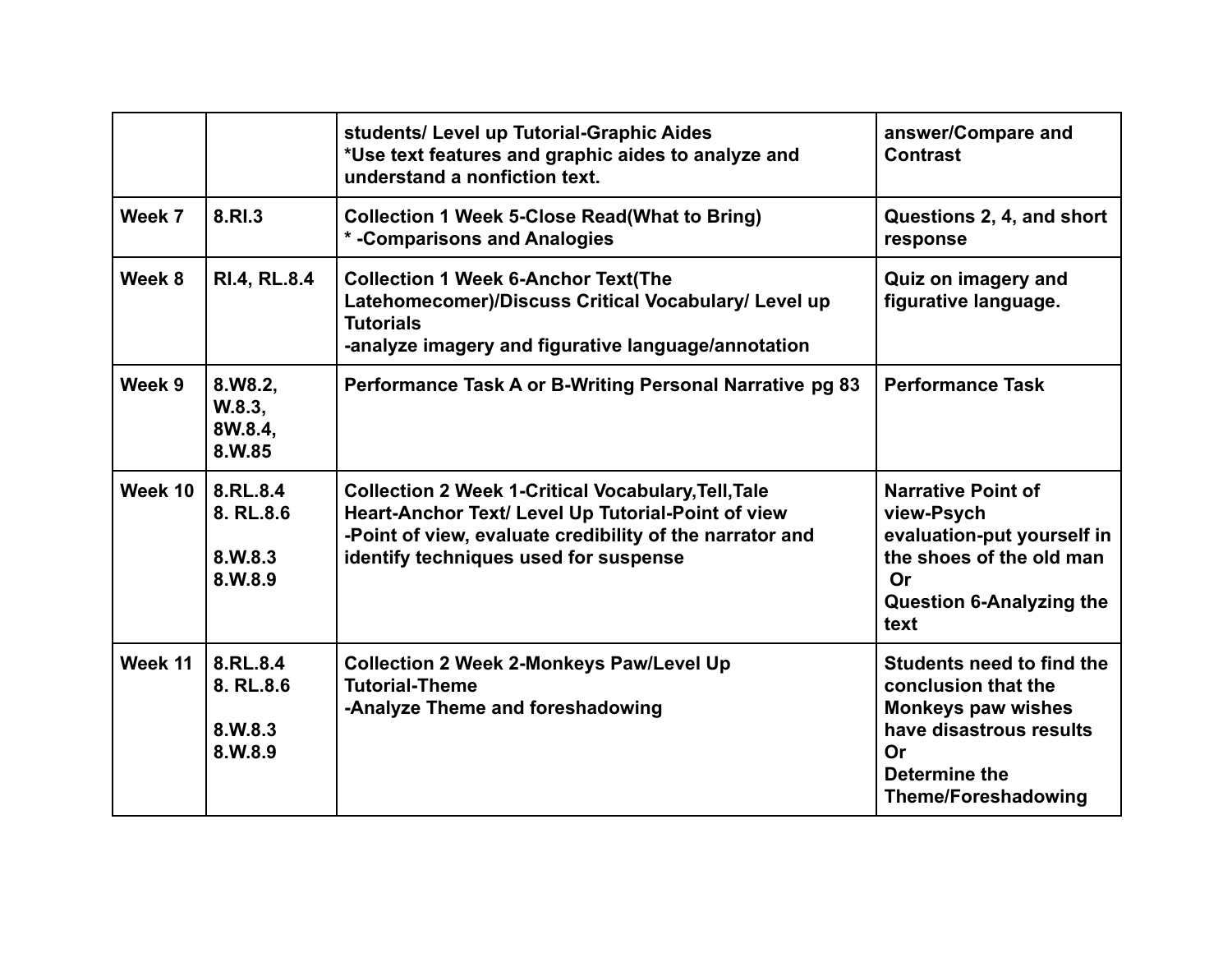|         |                                             | students/ Level up Tutorial-Graphic Aides<br>*Use text features and graphic aides to analyze and<br>understand a nonfiction text.                                                                                     | answer/Compare and<br><b>Contrast</b>                                                                                                                         |
|---------|---------------------------------------------|-----------------------------------------------------------------------------------------------------------------------------------------------------------------------------------------------------------------------|---------------------------------------------------------------------------------------------------------------------------------------------------------------|
| Week 7  | 8.RI.3                                      | <b>Collection 1 Week 5-Close Read(What to Bring)</b><br><b>* -Comparisons and Analogies</b>                                                                                                                           | Questions 2, 4, and short<br>response                                                                                                                         |
| Week 8  | <b>RI.4, RL.8.4</b>                         | <b>Collection 1 Week 6-Anchor Text(The</b><br>Latehomecomer)/Discuss Critical Vocabulary/ Level up<br><b>Tutorials</b><br>-analyze imagery and figurative language/annotation                                         | Quiz on imagery and<br>figurative language.                                                                                                                   |
| Week 9  | 8.W8.2,<br>W.8.3,<br>8W.8.4,<br>8.W.85      | Performance Task A or B-Writing Personal Narrative pg 83                                                                                                                                                              | <b>Performance Task</b>                                                                                                                                       |
| Week 10 | 8.RL.8.4<br>8. RL.8.6<br>8.W.8.3<br>8.W.8.9 | <b>Collection 2 Week 1-Critical Vocabulary, Tell, Tale</b><br>Heart-Anchor Text/ Level Up Tutorial-Point of view<br>-Point of view, evaluate credibility of the narrator and<br>identify techniques used for suspense | <b>Narrative Point of</b><br>view-Psych<br>evaluation-put yourself in<br>the shoes of the old man<br>Or<br><b>Question 6-Analyzing the</b><br>text            |
| Week 11 | 8.RL.8.4<br>8. RL.8.6<br>8.W.8.3<br>8.W.8.9 | <b>Collection 2 Week 2-Monkeys Paw/Level Up</b><br><b>Tutorial-Theme</b><br>-Analyze Theme and foreshadowing                                                                                                          | Students need to find the<br>conclusion that the<br><b>Monkeys paw wishes</b><br>have disastrous results<br>Or<br>Determine the<br><b>Theme/Foreshadowing</b> |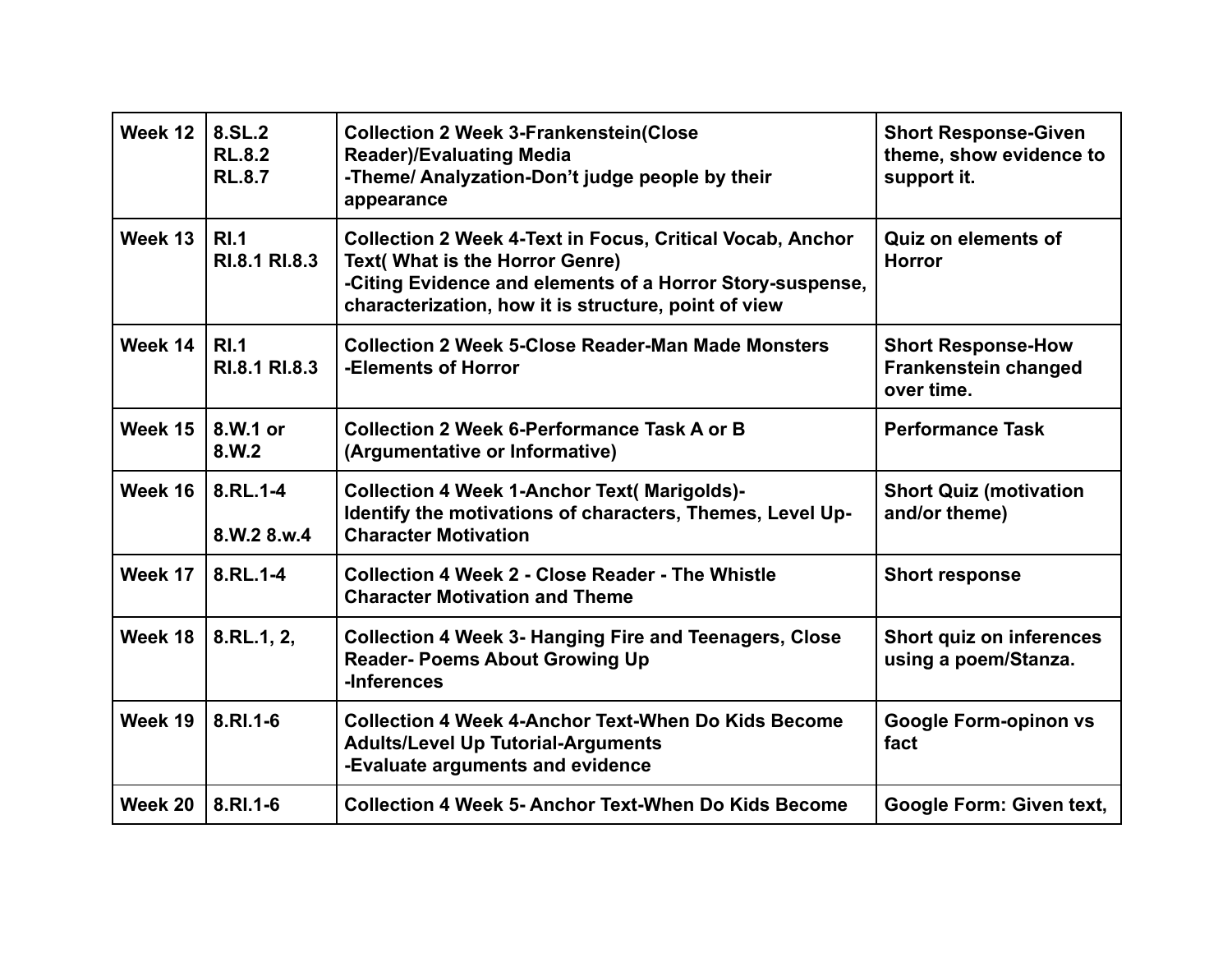| Week 12 | 8.SL.2<br><b>RL.8.2</b><br><b>RL.8.7</b> | <b>Collection 2 Week 3-Frankenstein(Close</b><br><b>Reader)/Evaluating Media</b><br>-Theme/ Analyzation-Don't judge people by their<br>appearance                                                                               | <b>Short Response-Given</b><br>theme, show evidence to<br>support it. |
|---------|------------------------------------------|---------------------------------------------------------------------------------------------------------------------------------------------------------------------------------------------------------------------------------|-----------------------------------------------------------------------|
| Week 13 | RI.1<br>RI.8.1 RI.8.3                    | <b>Collection 2 Week 4-Text in Focus, Critical Vocab, Anchor</b><br><b>Text( What is the Horror Genre)</b><br>-Citing Evidence and elements of a Horror Story-suspense,<br>characterization, how it is structure, point of view | <b>Quiz on elements of</b><br><b>Horror</b>                           |
| Week 14 | RI.1<br>RI.8.1 RI.8.3                    | <b>Collection 2 Week 5-Close Reader-Man Made Monsters</b><br>-Elements of Horror                                                                                                                                                | <b>Short Response-How</b><br>Frankenstein changed<br>over time.       |
| Week 15 | 8.W.1 or<br>8.W.2                        | <b>Collection 2 Week 6-Performance Task A or B</b><br>(Argumentative or Informative)                                                                                                                                            | <b>Performance Task</b>                                               |
| Week 16 | 8.RL.1-4<br>8.W.2 8.w.4                  | <b>Collection 4 Week 1-Anchor Text( Marigolds)-</b><br>Identify the motivations of characters, Themes, Level Up-<br><b>Character Motivation</b>                                                                                 | <b>Short Quiz (motivation</b><br>and/or theme)                        |
| Week 17 | $8.RL.1-4$                               | <b>Collection 4 Week 2 - Close Reader - The Whistle</b><br><b>Character Motivation and Theme</b>                                                                                                                                | <b>Short response</b>                                                 |
| Week 18 | 8.RL.1, 2,                               | <b>Collection 4 Week 3- Hanging Fire and Teenagers, Close</b><br><b>Reader- Poems About Growing Up</b><br>-Inferences                                                                                                           | Short quiz on inferences<br>using a poem/Stanza.                      |
| Week 19 | 8.RI.1-6                                 | <b>Collection 4 Week 4-Anchor Text-When Do Kids Become</b><br><b>Adults/Level Up Tutorial-Arguments</b><br>-Evaluate arguments and evidence                                                                                     | <b>Google Form-opinon vs</b><br>fact                                  |
| Week 20 | 8.RI.1-6                                 | <b>Collection 4 Week 5- Anchor Text-When Do Kids Become</b>                                                                                                                                                                     | Google Form: Given text,                                              |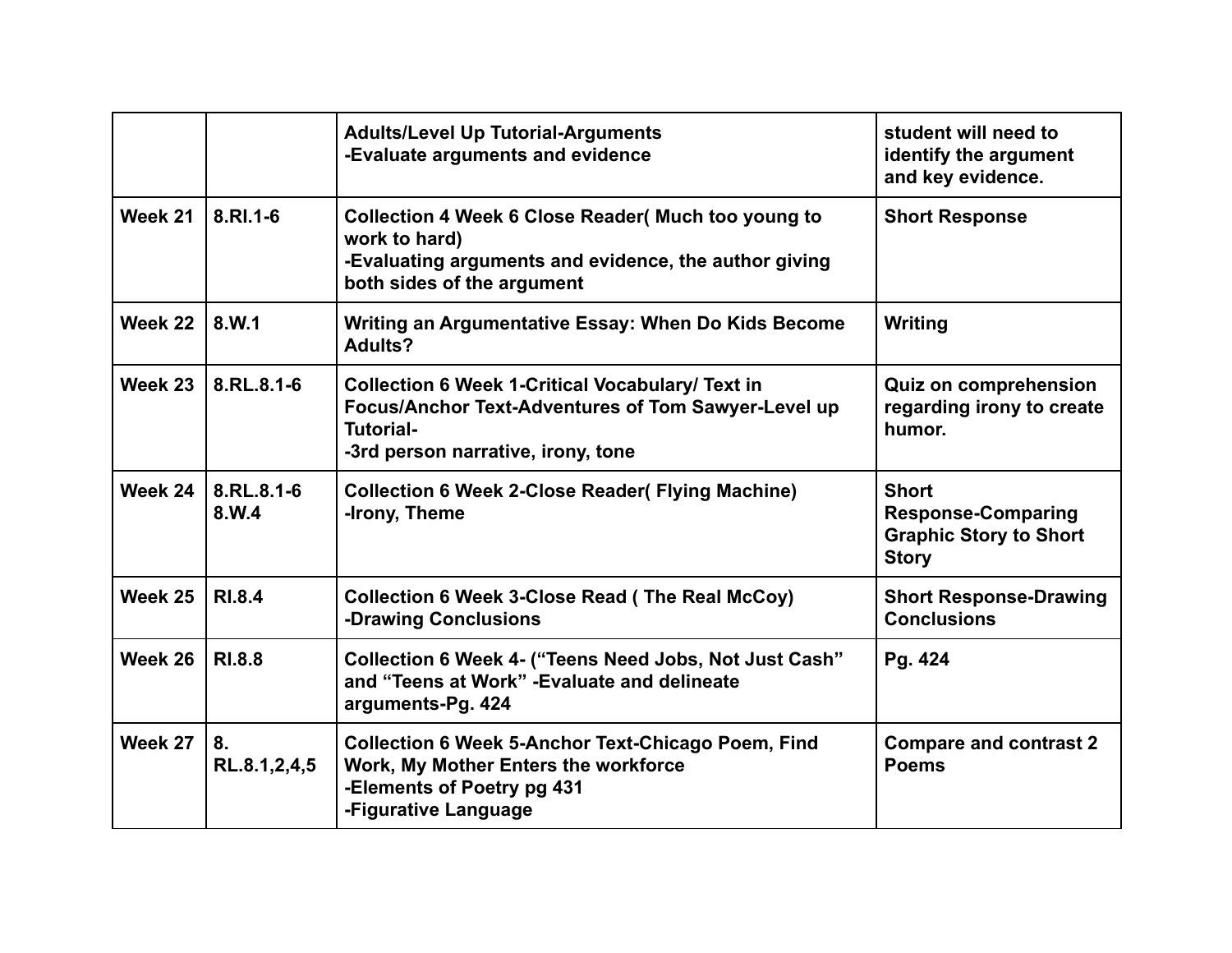|         |                     | <b>Adults/Level Up Tutorial-Arguments</b><br>-Evaluate arguments and evidence                                                                                            | student will need to<br>identify the argument<br>and key evidence.                         |
|---------|---------------------|--------------------------------------------------------------------------------------------------------------------------------------------------------------------------|--------------------------------------------------------------------------------------------|
| Week 21 | 8.RI.1-6            | Collection 4 Week 6 Close Reader (Much too young to<br>work to hard)<br>-Evaluating arguments and evidence, the author giving<br>both sides of the argument              | <b>Short Response</b>                                                                      |
| Week 22 | 8.W.1               | Writing an Argumentative Essay: When Do Kids Become<br>Adults?                                                                                                           | Writing                                                                                    |
| Week 23 | 8.RL.8.1-6          | <b>Collection 6 Week 1-Critical Vocabulary/ Text in</b><br>Focus/Anchor Text-Adventures of Tom Sawyer-Level up<br><b>Tutorial-</b><br>-3rd person narrative, irony, tone | <b>Quiz on comprehension</b><br>regarding irony to create<br>humor.                        |
| Week 24 | 8.RL.8.1-6<br>8.W.4 | <b>Collection 6 Week 2-Close Reader (Flying Machine)</b><br>-Irony, Theme                                                                                                | <b>Short</b><br><b>Response-Comparing</b><br><b>Graphic Story to Short</b><br><b>Story</b> |
| Week 25 | <b>RI.8.4</b>       | <b>Collection 6 Week 3-Close Read (The Real McCoy)</b><br>-Drawing Conclusions                                                                                           | <b>Short Response-Drawing</b><br><b>Conclusions</b>                                        |
| Week 26 | <b>RI.8.8</b>       | Collection 6 Week 4- ("Teens Need Jobs, Not Just Cash"<br>and "Teens at Work" - Evaluate and delineate<br>arguments-Pg. 424                                              | Pg. 424                                                                                    |
| Week 27 | 8.<br>RL.8.1,2,4,5  | <b>Collection 6 Week 5-Anchor Text-Chicago Poem, Find</b><br>Work, My Mother Enters the workforce<br>-Elements of Poetry pg 431<br>-Figurative Language                  | <b>Compare and contrast 2</b><br><b>Poems</b>                                              |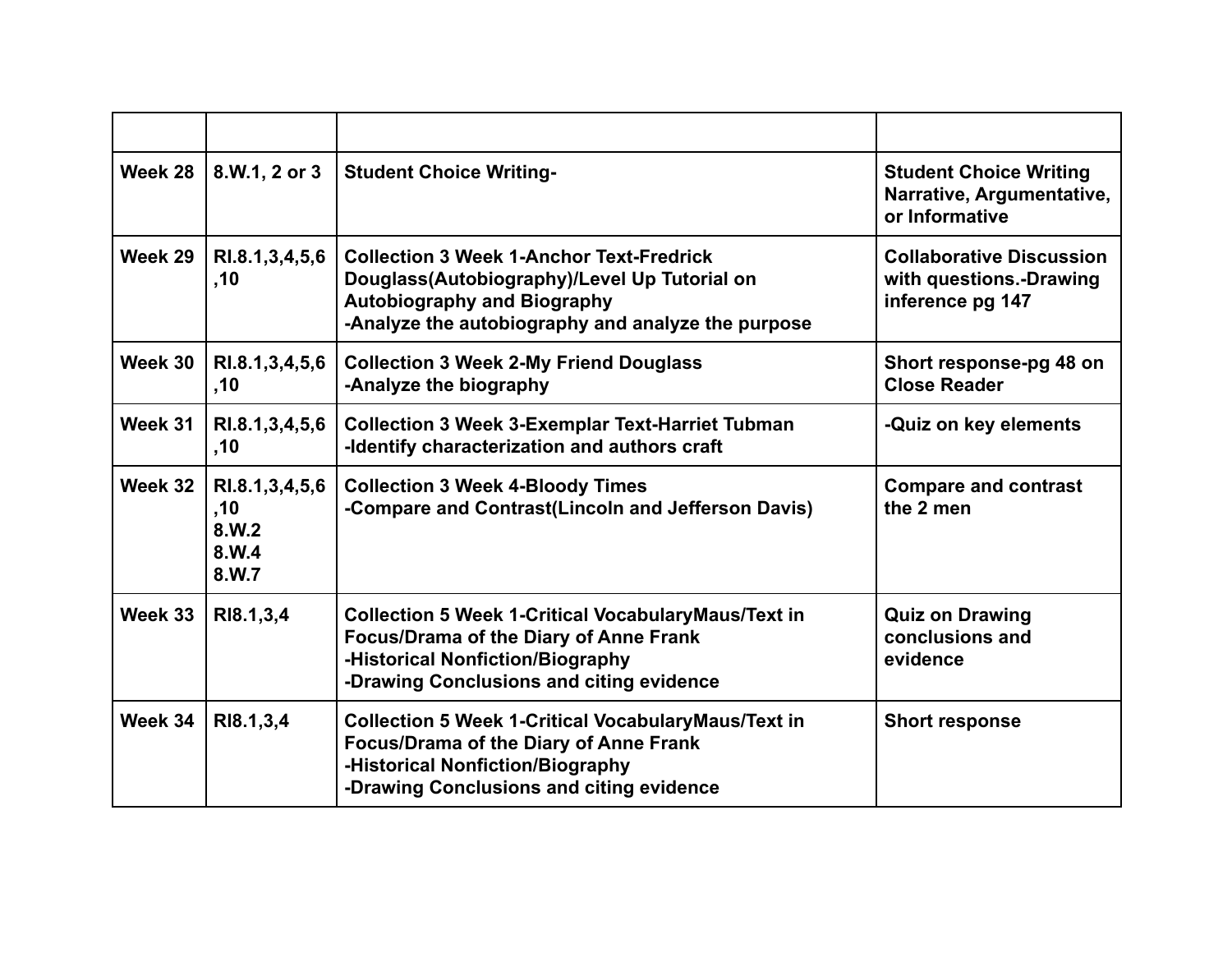| Week 28 | 8.W.1, 2 or 3                                        | <b>Student Choice Writing-</b>                                                                                                                                                              | <b>Student Choice Writing</b><br>Narrative, Argumentative,<br>or Informative   |
|---------|------------------------------------------------------|---------------------------------------------------------------------------------------------------------------------------------------------------------------------------------------------|--------------------------------------------------------------------------------|
| Week 29 | RI.8.1,3,4,5,6<br>,10                                | <b>Collection 3 Week 1-Anchor Text-Fredrick</b><br>Douglass(Autobiography)/Level Up Tutorial on<br><b>Autobiography and Biography</b><br>-Analyze the autobiography and analyze the purpose | <b>Collaborative Discussion</b><br>with questions.-Drawing<br>inference pg 147 |
| Week 30 | RI.8.1, 3, 4, 5, 6<br>,10                            | <b>Collection 3 Week 2-My Friend Douglass</b><br>-Analyze the biography                                                                                                                     | Short response-pg 48 on<br><b>Close Reader</b>                                 |
| Week 31 | RI.8.1, 3, 4, 5, 6<br>,10                            | <b>Collection 3 Week 3-Exemplar Text-Harriet Tubman</b><br>-Identify characterization and authors craft                                                                                     | -Quiz on key elements                                                          |
| Week 32 | RI.8.1, 3, 4, 5, 6<br>,10<br>8.W.2<br>8.W.4<br>8.W.7 | <b>Collection 3 Week 4-Bloody Times</b><br>-Compare and Contrast(Lincoln and Jefferson Davis)                                                                                               | <b>Compare and contrast</b><br>the 2 men                                       |
| Week 33 | RI8.1,3,4                                            | <b>Collection 5 Week 1-Critical VocabularyMaus/Text in</b><br><b>Focus/Drama of the Diary of Anne Frank</b><br>-Historical Nonfiction/Biography<br>-Drawing Conclusions and citing evidence | <b>Quiz on Drawing</b><br>conclusions and<br>evidence                          |
| Week 34 | RI8.1,3,4                                            | <b>Collection 5 Week 1-Critical VocabularyMaus/Text in</b><br><b>Focus/Drama of the Diary of Anne Frank</b><br>-Historical Nonfiction/Biography<br>-Drawing Conclusions and citing evidence | <b>Short response</b>                                                          |